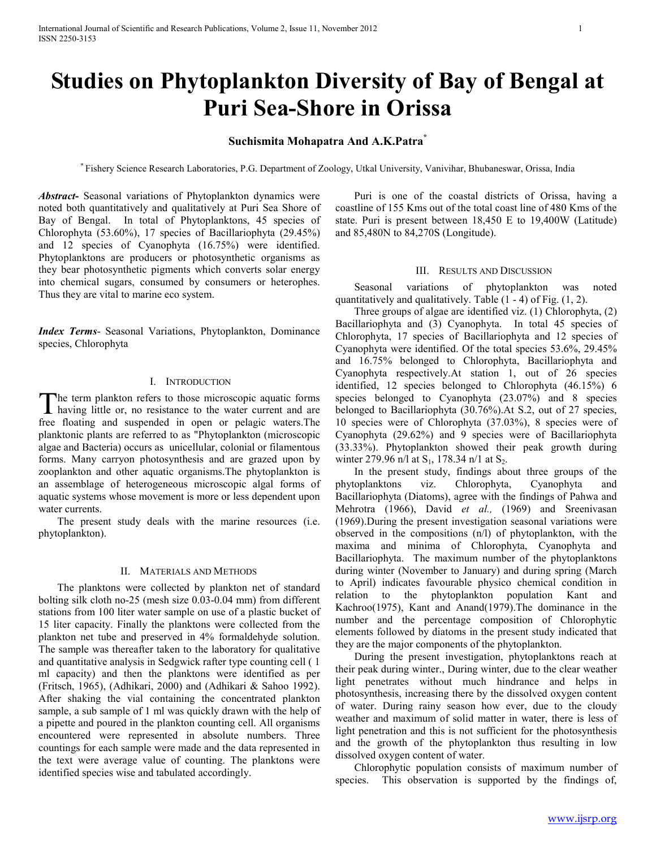# **Studies on Phytoplankton Diversity of Bay of Bengal at Puri Sea-Shore in Orissa**

## **Suchismita Mohapatra And A.K.Patra\***

\* Fishery Science Research Laboratories, P.G. Department of Zoology, Utkal University, Vanivihar, Bhubaneswar, Orissa, India

*Abstract***-** Seasonal variations of Phytoplankton dynamics were noted both quantitatively and qualitatively at Puri Sea Shore of Bay of Bengal. In total of Phytoplanktons, 45 species of Chlorophyta (53.60%), 17 species of Bacillariophyta (29.45%) and 12 species of Cyanophyta (16.75%) were identified. Phytoplanktons are producers or photosynthetic organisms as they bear photosynthetic pigments which converts solar energy into chemical sugars, consumed by consumers or heterophes. Thus they are vital to marine eco system.

*Index Terms*- Seasonal Variations, Phytoplankton, Dominance species, Chlorophyta

## I. INTRODUCTION

he term plankton refers to those microscopic aquatic forms The term plankton refers to those microscopic aquatic forms<br>having little or, no resistance to the water current and are free floating and suspended in open or pelagic waters.The planktonic plants are referred to as "Phytoplankton (microscopic algae and Bacteria) occurs as unicellular, colonial or filamentous forms. Many carryon photosynthesis and are grazed upon by zooplankton and other aquatic organisms.The phytoplankton is an assemblage of heterogeneous microscopic algal forms of aquatic systems whose movement is more or less dependent upon water currents.

 The present study deals with the marine resources (i.e. phytoplankton).

#### II. MATERIALS AND METHODS

 The planktons were collected by plankton net of standard bolting silk cloth no-25 (mesh size 0.03-0.04 mm) from different stations from 100 liter water sample on use of a plastic bucket of 15 liter capacity. Finally the planktons were collected from the plankton net tube and preserved in 4% formaldehyde solution. The sample was thereafter taken to the laboratory for qualitative and quantitative analysis in Sedgwick rafter type counting cell ( 1 ml capacity) and then the planktons were identified as per (Fritsch, 1965), (Adhikari, 2000) and (Adhikari & Sahoo 1992). After shaking the vial containing the concentrated plankton sample, a sub sample of 1 ml was quickly drawn with the help of a pipette and poured in the plankton counting cell. All organisms encountered were represented in absolute numbers. Three countings for each sample were made and the data represented in the text were average value of counting. The planktons were identified species wise and tabulated accordingly.

 Puri is one of the coastal districts of Orissa, having a coastline of 155 Kms out of the total coast line of 480 Kms of the state. Puri is present between 18,450 E to 19,400W (Latitude) and 85,480N to 84,270S (Longitude).

## III. RESULTS AND DISCUSSION

 Seasonal variations of phytoplankton was noted quantitatively and qualitatively. Table (1 - 4) of Fig. (1, 2).

 Three groups of algae are identified viz. (1) Chlorophyta, (2) Bacillariophyta and (3) Cyanophyta. In total 45 species of Chlorophyta, 17 species of Bacillariophyta and 12 species of Cyanophyta were identified. Of the total species 53.6%, 29.45% and 16.75% belonged to Chlorophyta, Bacillariophyta and Cyanophyta respectively.At station 1, out of 26 species identified, 12 species belonged to Chlorophyta (46.15%) 6 species belonged to Cyanophyta (23.07%) and 8 species belonged to Bacillariophyta (30.76%).At S.2, out of 27 species, 10 species were of Chlorophyta (37.03%), 8 species were of Cyanophyta (29.62%) and 9 species were of Bacillariophyta (33.33%). Phytoplankton showed their peak growth during winter 279.96 n/l at  $S_1$ , 178.34 n/l at  $S_2$ .

 In the present study, findings about three groups of the phytoplanktons viz. Chlorophyta, Cyanophyta and Bacillariophyta (Diatoms), agree with the findings of Pahwa and Mehrotra (1966), David *et al.,* (1969) and Sreenivasan (1969).During the present investigation seasonal variations were observed in the compositions (n/l) of phytoplankton, with the maxima and minima of Chlorophyta, Cyanophyta and Bacillariophyta. The maximum number of the phytoplanktons during winter (November to January) and during spring (March to April) indicates favourable physico chemical condition in relation to the phytoplankton population Kant and Kachroo(1975), Kant and Anand(1979).The dominance in the number and the percentage composition of Chlorophytic elements followed by diatoms in the present study indicated that they are the major components of the phytoplankton.

 During the present investigation, phytoplanktons reach at their peak during winter., During winter, due to the clear weather light penetrates without much hindrance and helps in photosynthesis, increasing there by the dissolved oxygen content of water. During rainy season how ever, due to the cloudy weather and maximum of solid matter in water, there is less of light penetration and this is not sufficient for the photosynthesis and the growth of the phytoplankton thus resulting in low dissolved oxygen content of water.

 Chlorophytic population consists of maximum number of species. This observation is supported by the findings of,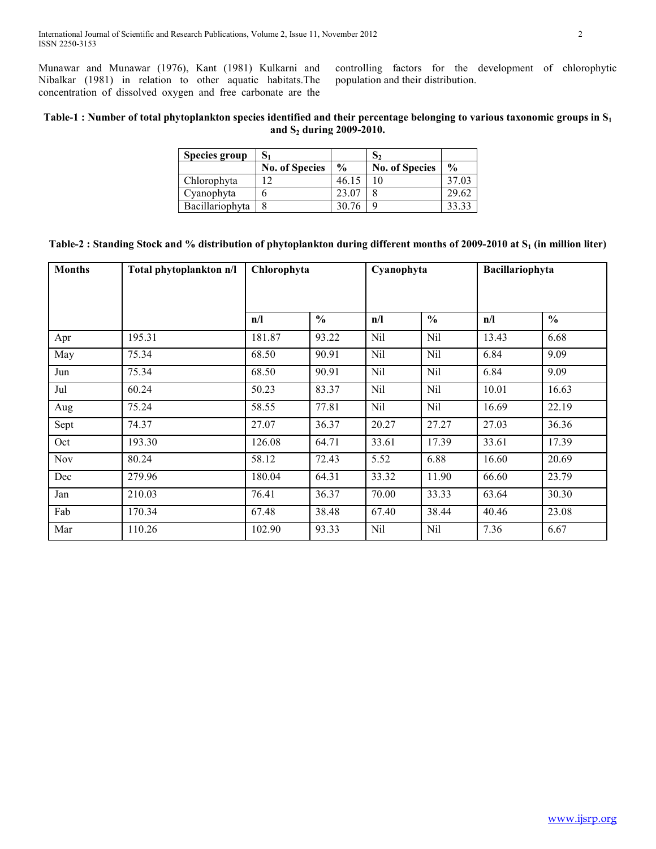Munawar and Munawar (1976), Kant (1981) Kulkarni and Nibalkar (1981) in relation to other aquatic habitats.The concentration of dissolved oxygen and free carbonate are the controlling factors for the development of chlorophytic population and their distribution.

# **Table-1 : Number of total phytoplankton species identified and their percentage belonging to various taxonomic groups in S<sup>1</sup> and S2 during 2009-2010.**

| <b>Species group</b> |                       |               | د ف                   |               |
|----------------------|-----------------------|---------------|-----------------------|---------------|
|                      | <b>No. of Species</b> | $\frac{0}{0}$ | <b>No. of Species</b> | $\frac{0}{0}$ |
| Chlorophyta          | ר ו                   | 46.15         | 10                    | 37.03         |
| Cyanophyta           |                       | 23.07         |                       | 29.62         |
| Bacillariophyta      |                       | 30.76         |                       |               |

|  | Table-2 : Standing Stock and % distribution of phytoplankton during different months of 2009-2010 at $S_1$ (in million liter) |  |  |
|--|-------------------------------------------------------------------------------------------------------------------------------|--|--|
|--|-------------------------------------------------------------------------------------------------------------------------------|--|--|

| <b>Months</b> | Total phytoplankton n/l | Chlorophyta |               | Cyanophyta |               | Bacillariophyta |               |
|---------------|-------------------------|-------------|---------------|------------|---------------|-----------------|---------------|
|               |                         | n/l         | $\frac{0}{0}$ | n/l        | $\frac{0}{0}$ | n/l             | $\frac{0}{0}$ |
| Apr           | 195.31                  | 181.87      | 93.22         | Nil        | Nil           | 13.43           | 6.68          |
| May           | 75.34                   | 68.50       | 90.91         | Nil        | Nil           | 6.84            | 9.09          |
| Jun           | 75.34                   | 68.50       | 90.91         | Nil        | Nil           | 6.84            | 9.09          |
| Jul           | 60.24                   | 50.23       | 83.37         | Nil        | Nil           | 10.01           | 16.63         |
| Aug           | 75.24                   | 58.55       | 77.81         | Nil        | Nil           | 16.69           | 22.19         |
| Sept          | 74.37                   | 27.07       | 36.37         | 20.27      | 27.27         | 27.03           | 36.36         |
| Oct           | 193.30                  | 126.08      | 64.71         | 33.61      | 17.39         | 33.61           | 17.39         |
| Nov           | 80.24                   | 58.12       | 72.43         | 5.52       | 6.88          | 16.60           | 20.69         |
| Dec           | 279.96                  | 180.04      | 64.31         | 33.32      | 11.90         | 66.60           | 23.79         |
| Jan           | 210.03                  | 76.41       | 36.37         | 70.00      | 33.33         | 63.64           | 30.30         |
| Fab           | 170.34                  | 67.48       | 38.48         | 67.40      | 38.44         | 40.46           | 23.08         |
| Mar           | 110.26                  | 102.90      | 93.33         | Nil        | Nil           | 7.36            | 6.67          |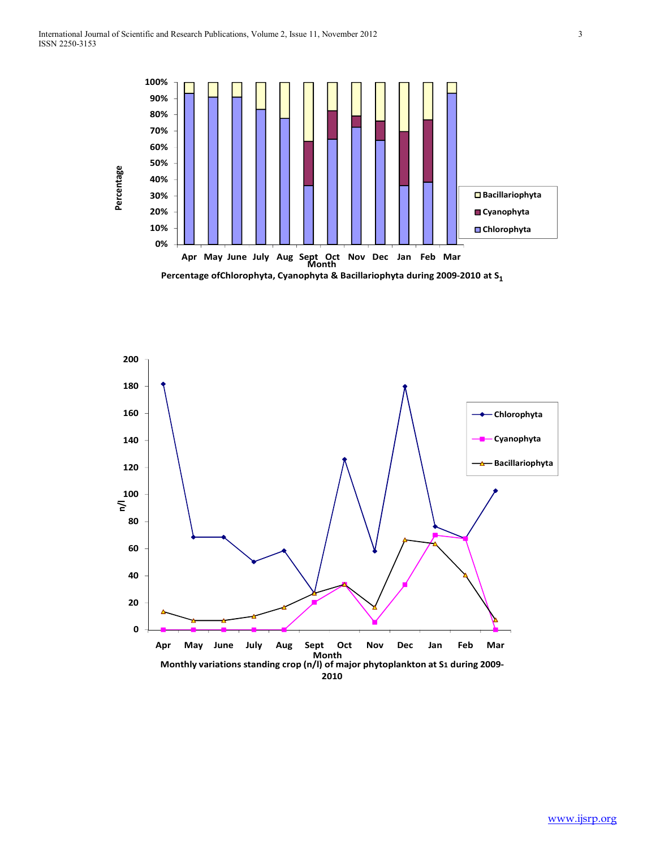

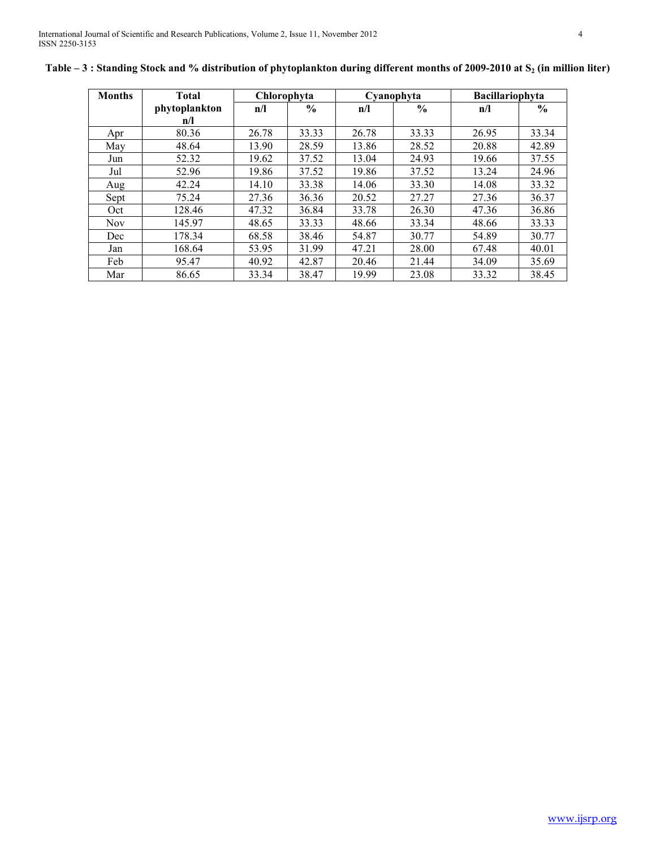| <b>Months</b> | <b>Total</b>  |       | Chlorophyta<br>Cyanophyta |       | Bacillariophyta |       |               |
|---------------|---------------|-------|---------------------------|-------|-----------------|-------|---------------|
|               | phytoplankton | n/l   | $\frac{6}{6}$             | n/l   | $\frac{6}{6}$   | n/l   | $\frac{6}{9}$ |
|               | n/l           |       |                           |       |                 |       |               |
| Apr           | 80.36         | 26.78 | 33.33                     | 26.78 | 33.33           | 26.95 | 33.34         |
| May           | 48.64         | 13.90 | 28.59                     | 13.86 | 28.52           | 20.88 | 42.89         |
| Jun           | 52.32         | 19.62 | 37.52                     | 13.04 | 24.93           | 19.66 | 37.55         |
| Jul           | 52.96         | 19.86 | 37.52                     | 19.86 | 37.52           | 13.24 | 24.96         |
| Aug           | 42.24         | 14.10 | 33.38                     | 14.06 | 33.30           | 14.08 | 33.32         |
| Sept          | 75.24         | 27.36 | 36.36                     | 20.52 | 27.27           | 27.36 | 36.37         |
| Oct           | 128.46        | 47.32 | 36.84                     | 33.78 | 26.30           | 47.36 | 36.86         |
| <b>Nov</b>    | 145.97        | 48.65 | 33.33                     | 48.66 | 33.34           | 48.66 | 33.33         |
| Dec           | 178.34        | 68.58 | 38.46                     | 54.87 | 30.77           | 54.89 | 30.77         |
| Jan           | 168.64        | 53.95 | 31.99                     | 47.21 | 28.00           | 67.48 | 40.01         |
| Feb           | 95.47         | 40.92 | 42.87                     | 20.46 | 21.44           | 34.09 | 35.69         |
| Mar           | 86.65         | 33.34 | 38.47                     | 19.99 | 23.08           | 33.32 | 38.45         |

|  |  |  |  |  |  | Table – 3: Standing Stock and % distribution of phytoplankton during different months of 2009-2010 at S <sub>2</sub> (in million liter) |
|--|--|--|--|--|--|-----------------------------------------------------------------------------------------------------------------------------------------|
|--|--|--|--|--|--|-----------------------------------------------------------------------------------------------------------------------------------------|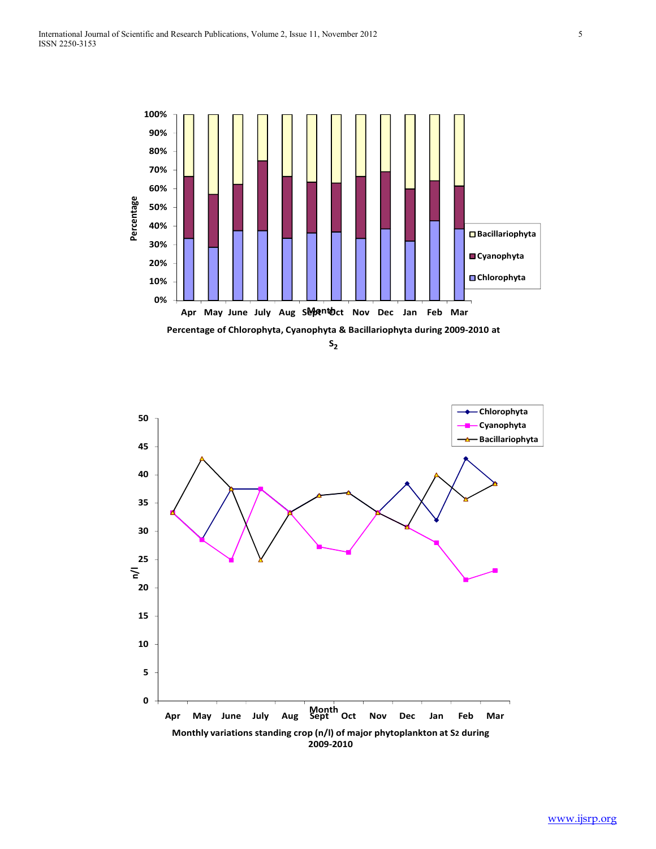

**S2**

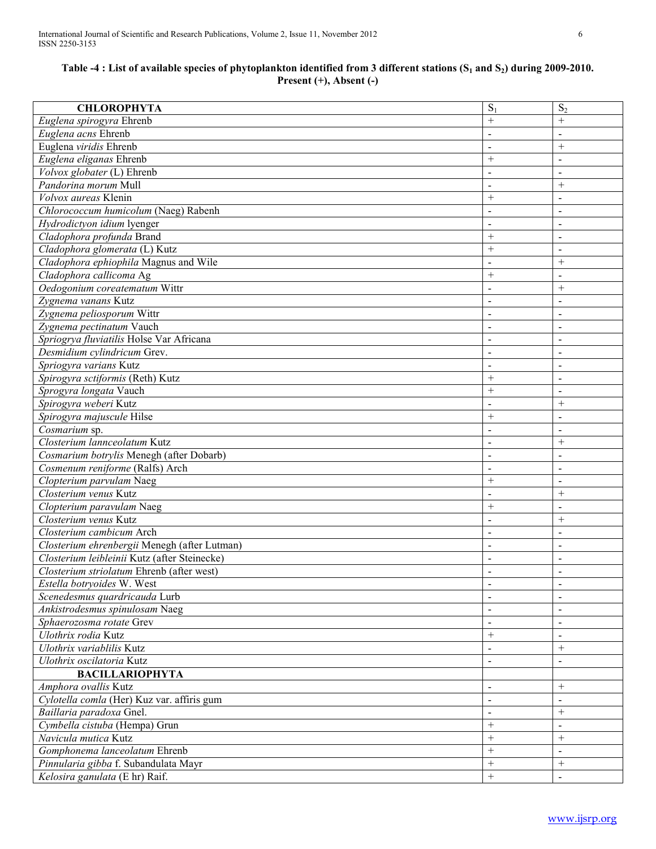# **Table -4 : List of available species of phytoplankton identified from 3 different stations (S1 and S2) during 2009-2010. Present (+), Absent (-)**

| <b>CHLOROPHYTA</b>                           | $S_1$          | $S_2$                    |
|----------------------------------------------|----------------|--------------------------|
| Euglena spirogyra Ehrenb                     | $+$            | $+$                      |
| Euglena acns Ehrenb                          | $\sim$         | $\blacksquare$           |
| Euglena viridis Ehrenb                       | $\sim$         | $+$                      |
| Euglena eliganas Ehrenb                      | $+$            | $\blacksquare$           |
| Volvox globater (L) Ehrenb                   | $\sim$         | $\blacksquare$           |
| Pandorina morum Mull                         | $\sim$         | $+$                      |
| Volvox aureas Klenin                         | $+$            | $\blacksquare$           |
| Chlorococcum humicolum (Naeg) Rabenh         | $\sim$         | $\blacksquare$           |
| Hydrodictyon idium lyenger                   | $\sim$         | $\blacksquare$           |
| Cladophora profunda Brand                    | $+$            | $\blacksquare$           |
| Cladophora glomerata (L) Kutz                | $+$            | $\overline{a}$           |
| Cladophora ephiophila Magnus and Wile        | $\sim$         | $+$                      |
| Cladophora callicoma Ag                      | $^{+}$         | $\blacksquare$           |
| Oedogonium coreatematum Wittr                | $\sim$         | $+$                      |
| Zygnema vanans Kutz                          | $\blacksquare$ | $\overline{a}$           |
| Zygnema peliosporum Wittr                    | $\blacksquare$ |                          |
| Zygnema pectinatum Vauch                     | $\blacksquare$ | $\overline{a}$           |
| Spriogrya fluviatilis Holse Var Africana     | $\sim$         | $\overline{a}$           |
| Desmidium cylindricum Grev.                  | $\sim$         | $\overline{a}$           |
| Spriogyra varians Kutz                       | $\sim$         | $\sim$                   |
| Spirogyra sctiformis (Reth) Kutz             | $+$            | $\sim$                   |
| Sprogyra longata Vauch                       | $+$            | $\sim$                   |
| Spirogyra weberi Kutz                        | $\sim$         | $+$                      |
| Spirogyra majuscule Hilse                    | $+$            | $\sim$                   |
| Cosmarium sp.                                | $\sim$         | $\sim$                   |
| Closterium lannceolatum Kutz                 | $\sim$         | $+$                      |
| Cosmarium botrylis Menegh (after Dobarb)     | $\sim$         | $\sim$                   |
| Cosmenum reniforme (Ralfs) Arch              | $\sim$         | $\blacksquare$           |
| Clopterium parvulam Naeg                     | $^{+}$         | $\blacksquare$           |
| Closterium venus Kutz                        | $\sim$         | $^{+}$                   |
| Clopterium paravulam Naeg                    | $^{+}$         | $\blacksquare$           |
| Closterium venus Kutz                        | $\blacksquare$ | $+$                      |
| Closterium cambicum Arch                     | $\blacksquare$ | $\overline{a}$           |
| Closterium ehrenbergii Menegh (after Lutman) | $\blacksquare$ |                          |
| Closterium leibleinii Kutz (after Steinecke) |                |                          |
| Closterium striolatum Ehrenb (after west)    | $\blacksquare$ | $\overline{a}$           |
| Estella botryoides W. West                   | $\blacksquare$ | $\overline{\phantom{a}}$ |
| Scenedesmus quardricauda Lurb                | $\blacksquare$ | $\blacksquare$           |
| Ankistrodesmus spinulosam Naeg               | $\blacksquare$ | $\blacksquare$           |
| Sphaerozosma rotate Grev                     | $\blacksquare$ | $\blacksquare$           |
| Ulothrix rodia Kutz                          | $+$            | $\blacksquare$           |
| Ulothrix variablilis Kutz                    | $\blacksquare$ | $^{+}$                   |
| Ulothrix oscilatoria Kutz                    | $\blacksquare$ | $\blacksquare$           |
| <b>BACILLARIOPHYTA</b>                       |                |                          |
| Amphora ovallis Kutz                         | $\blacksquare$ | $^{+}$                   |
| Cylotella comla (Her) Kuz var. affiris gum   | $\blacksquare$ | $\overline{\phantom{a}}$ |
| Baillaria paradoxa Gnel.                     | $\blacksquare$ | $^{+}$                   |
| Cymbella cistuba (Hempa) Grun                | $^{+}$         | $\blacksquare$           |
| Navicula mutica Kutz                         | $^{+}$         | $^{+}$                   |
| Gomphonema lanceolatum Ehrenb                | $+$            | $\overline{\phantom{a}}$ |
| Pinnularia gibba f. Subandulata Mayr         | $+$            | $+$                      |
|                                              | $+$            | $\blacksquare$           |
| Kelosira ganulata (E hr) Raif.               |                |                          |